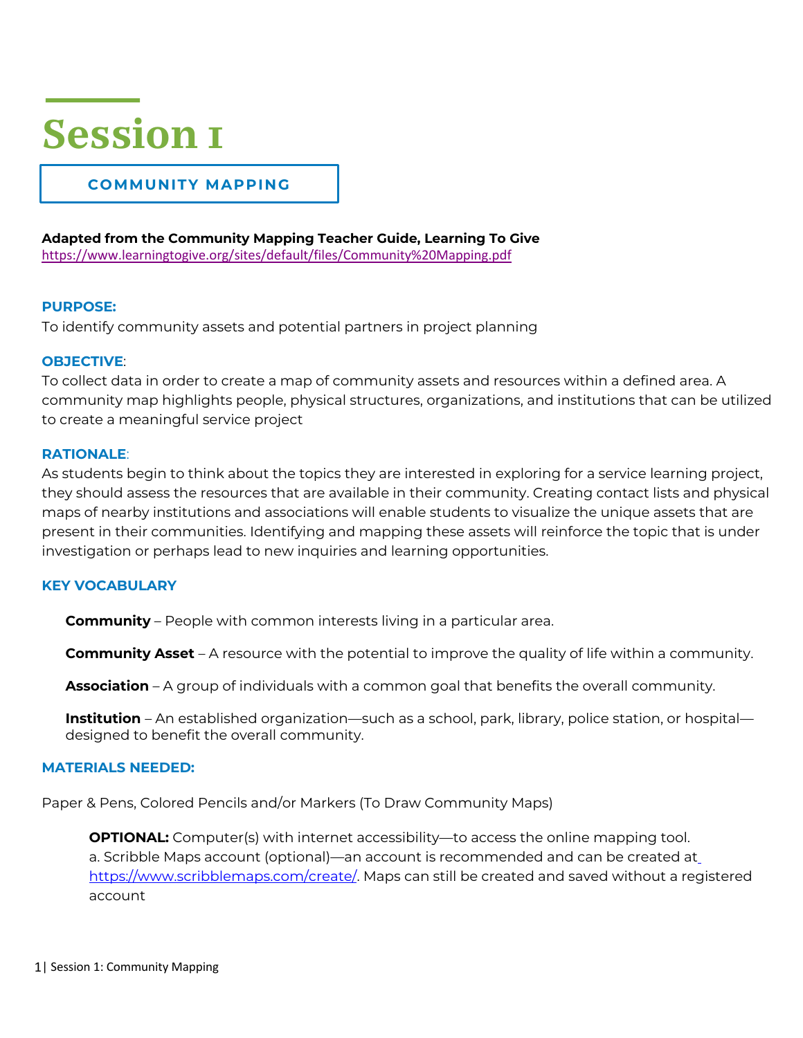## **Session 1**

## **COMMUNITY MAPPING**

**Adapted from the Community Mapping Teacher Guide, Learning To Give**

https://www.learningtogive.org/sites/default/files/Community%20Mapping.pdf

### **PURPOSE:**

To identify community assets and potential partners in project planning

### **OBJECTIVE**:

To collect data in order to create a map of community assets and resources within a defined area. A community map highlights people, physical structures, organizations, and institutions that can be utilized to create a meaningful service project

### **RATIONALE**:

As students begin to think about the topics they are interested in exploring for a service learning project, they should assess the resources that are available in their community. Creating contact lists and physical maps of nearby institutions and associations will enable students to visualize the unique assets that are present in their communities. Identifying and mapping these assets will reinforce the topic that is under investigation or perhaps lead to new inquiries and learning opportunities.

### **KEY VOCABULARY**

**Community** – People with common interests living in a particular area.

**Community Asset** – A resource with the potential to improve the quality of life within a community.

**Association** – A group of individuals with a common goal that benefits the overall community.

**Institution** – An established organization—such as a school, park, library, police station, or hospital designed to benefit the overall community.

### **MATERIALS NEEDED:**

Paper & Pens, Colored Pencils and/or Markers (To Draw Community Maps)

**OPTIONAL:** Computer(s) with internet accessibility—to access the online mapping tool. a. Scribble Maps account (optional)—an account is recommended and can be created at https://www.scribblemaps.com/create/. Maps can still be created and saved without a registered account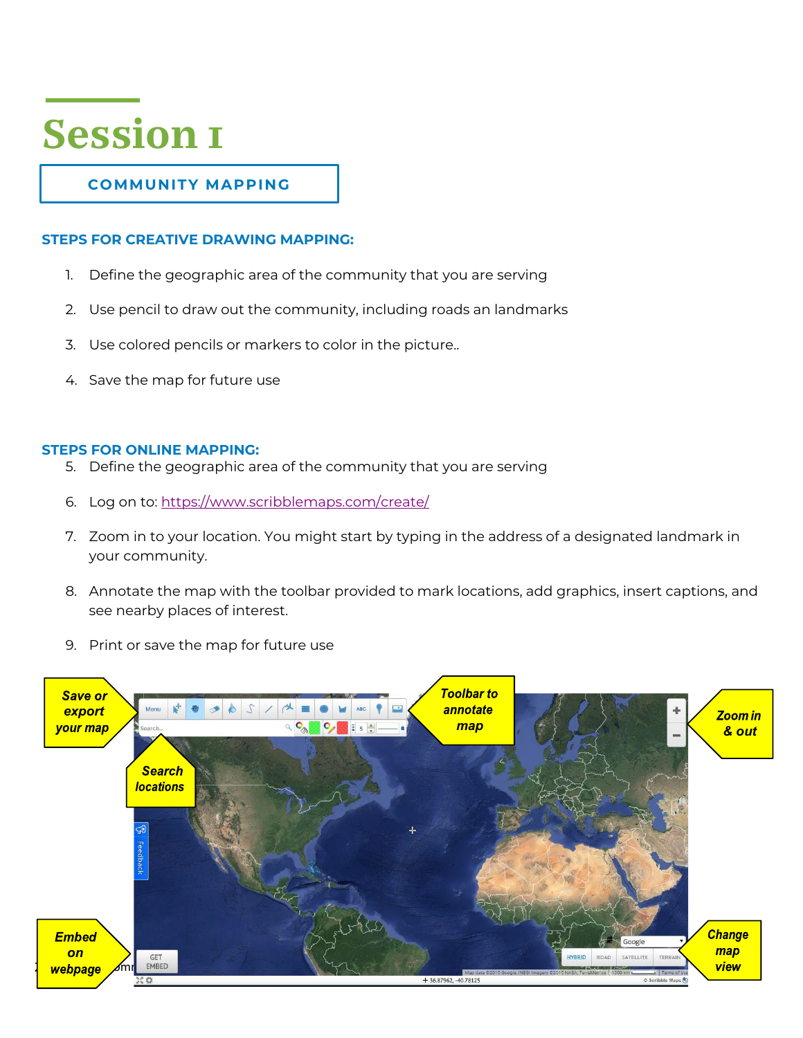# **Session 1**

## **COMMUNITY MAPPING**

### **STEPS FOR CREATIVE DRAWING MAPPING:**

- 1. Define the geographic area of the community that you are serving
- 2. Use pencil to draw out the community, including roads an landmarks
- 3. Use colored pencils or markers to color in the picture..
- 4. Save the map for future use

### **STEPS FOR ONLINE MAPPING:**

- 5. Define the geographic area of the community that you are serving
- 6. Log on to: https://www.scribblemaps.com/create/
- 7. Zoom in to your location. You might start by typing in the address of a designated landmark in your community.
- 8. Annotate the map with the toolbar provided to mark locations, add graphics, insert captions, and see nearby places of interest.
- 9. Print or save the map for future use

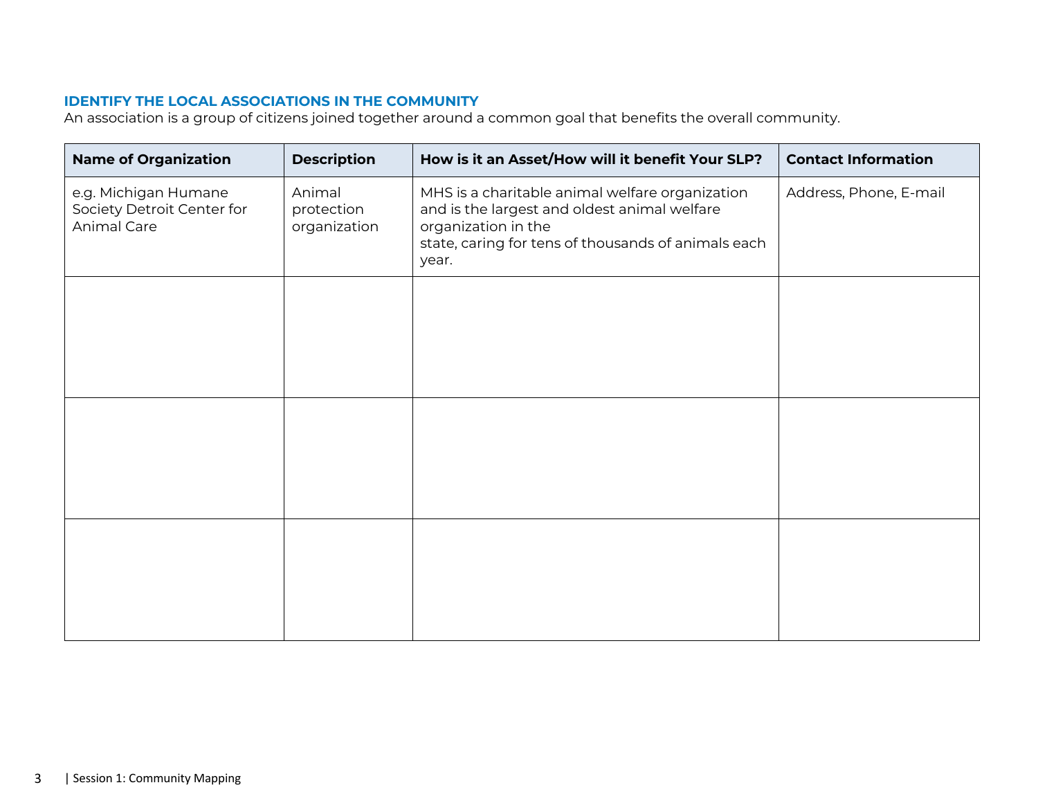### **IDENTIFY THE LOCAL ASSOCIATIONS IN THE COMMUNITY**

An association is a group of citizens joined together around a common goal that benefits the overall community.

| <b>Name of Organization</b>                                       | <b>Description</b>                   | How is it an Asset/How will it benefit Your SLP?                                                                                                                                       | <b>Contact Information</b> |
|-------------------------------------------------------------------|--------------------------------------|----------------------------------------------------------------------------------------------------------------------------------------------------------------------------------------|----------------------------|
| e.g. Michigan Humane<br>Society Detroit Center for<br>Animal Care | Animal<br>protection<br>organization | MHS is a charitable animal welfare organization<br>and is the largest and oldest animal welfare<br>organization in the<br>state, caring for tens of thousands of animals each<br>year. | Address, Phone, E-mail     |
|                                                                   |                                      |                                                                                                                                                                                        |                            |
|                                                                   |                                      |                                                                                                                                                                                        |                            |
|                                                                   |                                      |                                                                                                                                                                                        |                            |
|                                                                   |                                      |                                                                                                                                                                                        |                            |
|                                                                   |                                      |                                                                                                                                                                                        |                            |